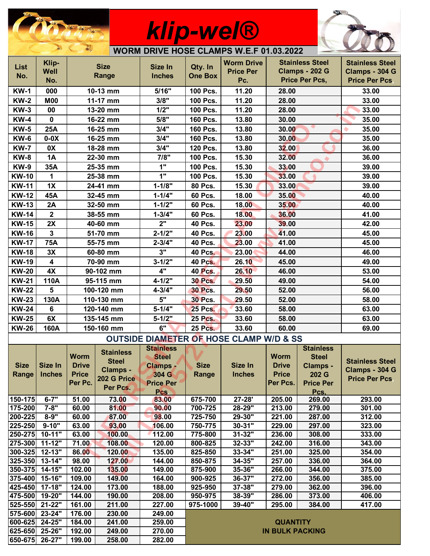

## *klip-wel®*



|                    | $P =$<br>$\bullet$<br>Service B<br><b>WORM DRIVE HOSE CLAMPS W.E.F 01.03.2022</b> |                |                  |                                                    |                                       |                   |                  |                        |                        |
|--------------------|-----------------------------------------------------------------------------------|----------------|------------------|----------------------------------------------------|---------------------------------------|-------------------|------------------|------------------------|------------------------|
|                    | Klip-                                                                             |                |                  |                                                    |                                       | <b>Worm Drive</b> |                  | <b>Stainless Steel</b> | <b>Stainless Steel</b> |
| <b>List</b>        | <b>Well</b>                                                                       | <b>Size</b>    |                  | Size In                                            | Qty. In                               | <b>Price Per</b>  |                  | <b>Clamps - 202 G</b>  | Clamps - 304 G         |
| No.                | No.                                                                               | Range          |                  | <b>Inches</b>                                      | <b>One Box</b>                        | Pc.               |                  | Price Per Pcs,         | <b>Price Per Pcs</b>   |
| <b>KW-1</b>        | 000                                                                               |                |                  | 5/16"                                              | 100 Pcs.                              | 11.20             |                  |                        | 33.00                  |
|                    |                                                                                   | 10-13 mm       |                  | 3/8"                                               |                                       |                   | 28.00            |                        |                        |
| <b>KW-2</b>        | <b>M00</b>                                                                        | 11-17 mm       |                  |                                                    | 100 Pcs.                              | 11.20             | 28.00            |                        | 33.00                  |
| <b>KW-3</b>        | 00                                                                                | 13-20 mm       |                  | 1/2"                                               | 100 Pcs.                              | 11.20             | 28.00            |                        | 33.00                  |
| <b>KW-4</b>        | $\mathbf 0$                                                                       | 16-22 mm       |                  | 5/8"                                               | 160 Pcs.                              | 13.80             | 30.00            |                        | 35.00                  |
| <b>KW-5</b>        | 25A                                                                               | 16-25 mm       |                  | 3/4"                                               | 160 Pcs.                              | 13.80             | 30.00            |                        | 35.00                  |
| <b>KW-6</b>        | $0-0X$                                                                            | 16-25 mm       |                  | 3/4"                                               | 160 Pcs.                              | 13.80             | 30.00            |                        | 35.00                  |
| <b>KW-7</b>        | 0X                                                                                |                | 18-28 mm         | 3/4"                                               | 120 Pcs.                              | 13.80             | 32.00            |                        | 36.00                  |
| <b>KW-8</b>        | 1A                                                                                |                | 22-30 mm         | 7/8"                                               | 100 Pcs.                              | 15.30             | 32.00            |                        | 36.00                  |
| <b>KW-9</b>        | 35A                                                                               |                | 25-35 mm         | 1"                                                 | 100 Pcs.                              | 15.30             | 33.00            |                        | 39.00                  |
| <b>KW-10</b>       | 1                                                                                 | 25-38 mm       |                  | 1"                                                 | 100 Pcs.                              | 15.30             | 33.00            |                        | 39.00                  |
| <b>KW-11</b>       | 1X                                                                                | 24-41 mm       |                  | $1 - 1/8"$                                         | <b>80 Pcs.</b>                        | 15.30             | 33.00            |                        | 39.00                  |
| <b>KW-12</b>       | 45A                                                                               | 32-45 mm       |                  | $1 - 1/4"$                                         | <b>60 Pcs.</b>                        | 18.00             | 35.00            |                        | 40.00                  |
| <b>KW-13</b>       | 2A                                                                                | 32-50 mm       |                  | $1 - 1/2"$                                         | 60 Pcs.                               | 18.00             | 35.00            |                        | 40.00                  |
| <b>KW-14</b>       | $\mathbf{2}$                                                                      |                | 38-55 mm         | $1 - 3/4"$                                         | 60 Pcs.                               | 18.00             | 36.00            |                        | 41.00                  |
| <b>KW-15</b>       | 2X                                                                                | 40-60 mm       |                  | 2"                                                 | <b>40 Pcs.</b>                        | 23.00             | 39.00            |                        | 42.00                  |
| <b>KW-16</b>       | $\mathbf{3}$                                                                      | 51-70 mm       |                  | $2 - 1/2"$                                         | <b>40 Pcs.</b>                        | 23.00             | 41.00            |                        | 45.00                  |
| <b>KW-17</b>       | 75A                                                                               | 55-75 mm       |                  | $2 - 3/4"$                                         | <b>40 Pcs.</b>                        | 23.00             | 41.00            |                        | 45.00                  |
| <b>KW-18</b>       | 3X                                                                                | 60-80 mm       |                  | 3"                                                 | <b>40 Pcs.</b>                        | 23.00             | 44.00            |                        | 46.00                  |
| <b>KW-19</b>       | $\overline{\mathbf{4}}$                                                           | 70-90 mm       |                  | $3 - 1/2"$                                         | <b>40 Pcs.</b>                        | 26.10             | 45.00            |                        | 49.00                  |
| <b>KW-20</b>       | 4X                                                                                | 90-102 mm      |                  | 4"                                                 | <b>40 Pcs.</b>                        | 26.10             | 46.00            |                        | 53.00                  |
| <b>KW-21</b>       | 110A                                                                              | 95-115 mm      |                  | $4 - 1/2"$                                         | <b>30 Pcs.</b>                        | 29.50             | 49.00            |                        | 54.00                  |
|                    |                                                                                   |                |                  |                                                    |                                       |                   |                  |                        |                        |
| <b>KW-22</b>       | 5                                                                                 | 100-120 mm     |                  | $4 - 3/4"$                                         | <b>30 Pcs.</b>                        | 29.50             | 52.00            |                        | 56.00                  |
| <b>KW-23</b>       | 130A                                                                              | 110-130 mm     |                  | 5"                                                 | <b>30 Pcs.</b>                        | 29.50             | 52.00            |                        | 58.00                  |
| <b>KW-24</b>       | 6                                                                                 | 120-140 mm     |                  | $5 - 1/4"$                                         | <b>25 Pcs.</b>                        | 33.60             | 58.00            |                        | 63.00                  |
| <b>KW-25</b>       | 6X                                                                                | 135-145 mm     |                  | $5 - 1/2"$                                         | <b>25 Pcs.</b>                        | 33.60             | 58.00            |                        | 63.00                  |
| <b>KW-26</b>       | 160A                                                                              | 150-160 mm     |                  | 6"                                                 | <b>25 Pcs.</b><br>33.60<br>60.00      |                   | 69.00            |                        |                        |
|                    |                                                                                   |                |                  | <b>OUTSIDE DIAMETER OF HOSE CLAMP W/D &amp; SS</b> |                                       |                   |                  |                        |                        |
|                    |                                                                                   |                | <b>Stainless</b> | <b>Stainless</b>                                   |                                       |                   |                  | <b>Stainless</b>       |                        |
|                    |                                                                                   | <b>Worm</b>    | <b>Steel</b>     | <b>Steel</b>                                       |                                       |                   | <b>Worm</b>      | <b>Steel</b>           | <b>Stainless Steel</b> |
| <b>Size</b>        | Size In                                                                           | <b>Drive</b>   | <b>Clamps -</b>  | <b>Clamps -</b>                                    | <b>Size</b>                           | Size In           | <b>Drive</b>     | Clamps -               | Clamps - 304 G         |
| Range              | <b>Inches</b>                                                                     | <b>Price</b>   | 202 G Price      | 304 G                                              | Range                                 | <b>Inches</b>     | <b>Price</b>     | 202 G                  | <b>Price Per Pcs</b>   |
|                    |                                                                                   | Per Pc.        | Per Pcs.         | <b>Price Per</b>                                   |                                       |                   | Per Pcs.         | <b>Price Per</b>       |                        |
|                    |                                                                                   |                |                  | <b>Pcs</b>                                         |                                       |                   |                  | Pcs.                   |                        |
| 150-175            | $6 - 7"$<br>$7 - 8"$                                                              | 51.00<br>60.00 | 73.00            | 83.00                                              | 675-700                               | 27-28'<br>28-29"  | 205.00           | 269.00                 | 293.00                 |
| 175-200<br>200-225 | $8 - 9"$                                                                          | 60.00          | 81.00<br>87.00   | 90.00<br>98.00                                     | 700-725<br>725-750                    | 29-30"            | 213.00<br>221.00 | 279.00<br>287.00       | 301.00<br>312.00       |
| 225-250            | $9 - 10"$                                                                         | 63.00          | 93.00            | 106.00                                             | 750-775                               | $30 - 31"$        | 229.00           | 297.00                 | 323.00                 |
| 250-275            | $10 - 11"$                                                                        | 63.00          | 100.00           | 112.00                                             | 775-800                               | $31 - 32"$        | 236.00           | 308.00                 | 333.00                 |
| 275-300            | $11 - 12"$                                                                        | 71.00          | 108.00           | 120.00                                             | 800-825                               | 32-33"            | 242.00           | 316.00                 | 343.00                 |
| 300-325            | $12 - 13"$                                                                        | 86.00          | 120.00           | 135.00                                             | 825-850                               | 33-34"            | 251.00           | 325.00                 | 354.00                 |
| 325-350            | $13 - 14$                                                                         | 98.00          | 127.00           | 144.00                                             | 850-875                               | $34 - 35$         | 257.00           | 336.00                 | 364.00                 |
| 350-375            | 14-15"                                                                            | 102.00         | 135.00           | 149.00                                             | 875-900                               | $35 - 36$         | 266.00           | 344.00                 | 375.00                 |
| 375-400            | 15-16"                                                                            | 109.00         | 149.00           | 164.00                                             | 900-925                               | 36-37"            | 272.00           | 356.00                 | 385.00                 |
| 425-450            | $17 - 18"$                                                                        | 124.00         | 173.00           | 188.00                                             | 925-950                               | 37-38"            | 279.00           | 362.00                 | 396.00                 |
| 475-500            | 19-20"                                                                            | 144.00         | 190.00           | 208.00                                             | 286.00<br>950-975<br>38-39"<br>373.00 |                   | 406.00           |                        |                        |
| 525-550            | 21-22"                                                                            | 161.00         | 211.00           | 227.00                                             | 975-1000                              | 39-40"            | 295.00           | 384.00                 | 417.00                 |
| 575-600            | 23-24"                                                                            | 176.00         | 230.00           | 249.00                                             |                                       |                   |                  |                        |                        |
| 600-625            | 24-25"                                                                            | 184.00         | 241.00           | 259.00                                             |                                       |                   | <b>QUANTITY</b>  |                        |                        |
| 625-650            | 25-26"                                                                            | 192.00         | 249.00           | 270.00                                             | <b>IN BULK PACKING</b>                |                   |                  |                        |                        |
| 650-675 26-27"     |                                                                                   | 199.00         | 258.00           | 282.00                                             |                                       |                   |                  |                        |                        |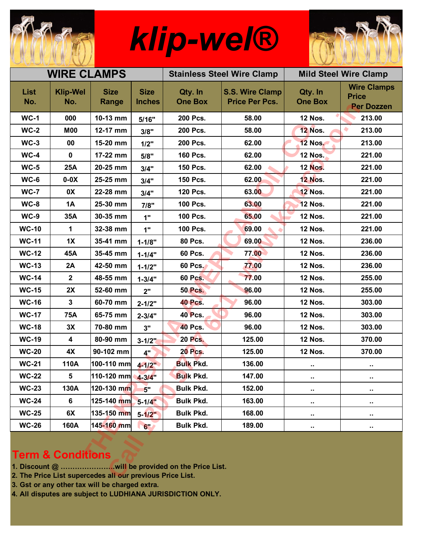

## *klip-wel®*



| <b>WIRE CLAMPS</b>                                                                        |                         |                      |                              |                           | <b>Stainless Steel Wire Clamp</b>               | <b>Mild Steel Wire Clamp</b> |                                                         |
|-------------------------------------------------------------------------------------------|-------------------------|----------------------|------------------------------|---------------------------|-------------------------------------------------|------------------------------|---------------------------------------------------------|
| <b>List</b><br>No.                                                                        | <b>Klip-Wel</b><br>No.  | <b>Size</b><br>Range | <b>Size</b><br><b>Inches</b> | Qty. In<br><b>One Box</b> | <b>S.S. Wire Clamp</b><br><b>Price Per Pcs.</b> | Qty. In<br><b>One Box</b>    | <b>Wire Clamps</b><br><b>Price</b><br><b>Per Dozzen</b> |
| $WC-1$                                                                                    | 000                     | 10-13 mm             | 5/16"                        | 200 Pcs.                  | 58.00                                           | <b>12 Nos.</b>               | 213.00                                                  |
| $WC-2$                                                                                    | <b>M00</b>              | 12-17 mm             | 3/8"                         | 200 Pcs.                  | 58.00                                           | <b>12 Nos.</b>               | ۰<br>213.00                                             |
| $WC-3$                                                                                    | 00                      | 15-20 mm             | 1/2"                         | 200 Pcs.                  | 62.00                                           | <b>12 Nos.</b>               | 213.00                                                  |
| $WC-4$                                                                                    | $\mathbf 0$             | 17-22 mm             | 5/8"                         | 160 Pcs.                  | 62.00                                           | <b>12 Nos.</b>               | 221.00                                                  |
| $WC-5$                                                                                    | <b>25A</b>              | 20-25 mm             | 3/4"                         | 150 Pcs.                  | 62.00                                           | <b>12 Nos.</b>               | 221.00                                                  |
| $WC-6$                                                                                    | $0-0X$                  | 25-25 mm             | 3/4"                         | 150 Pcs.                  | 62.00                                           | <b>12 Nos.</b>               | 221.00                                                  |
| <b>WC-7</b>                                                                               | 0X                      | 22-28 mm             | 3/4"                         | 120 Pcs.                  | 63.00                                           | <b>12 Nos.</b>               | 221.00                                                  |
| $WC-8$                                                                                    | <b>1A</b>               | 25-30 mm             | 7/8"                         | 100 Pcs.                  | 63.00                                           | <b>12 Nos.</b>               | 221.00                                                  |
| $WC-9$                                                                                    | 35A                     | 30-35 mm             | 1"                           | 100 Pcs.                  | 65.00                                           | <b>12 Nos.</b>               | 221.00                                                  |
| <b>WC-10</b>                                                                              | 1                       | 32-38 mm             | 1"                           | 100 Pcs.                  | 69.00                                           | <b>12 Nos.</b>               | 221.00                                                  |
| <b>WC-11</b>                                                                              | 1X                      | 35-41 mm             | $1 - 1/8"$                   | 80 Pcs.                   | 69.00                                           | <b>12 Nos.</b>               | 236.00                                                  |
| <b>WC-12</b>                                                                              | 45A                     | 35-45 mm             | $1 - 1/4"$                   | 60 Pcs.                   | 77.00                                           | <b>12 Nos.</b>               | 236.00                                                  |
| <b>WC-13</b>                                                                              | 2A                      | 42-50 mm             | $1 - 1/2"$                   | 60 Pcs.                   | 77.00                                           | <b>12 Nos.</b>               | 236.00                                                  |
| <b>WC-14</b>                                                                              | $\boldsymbol{2}$        | 48-55 mm             | $1 - 3/4"$                   | <b>60 Pcs.</b>            | 77.00                                           | <b>12 Nos.</b>               | 255.00                                                  |
| <b>WC-15</b>                                                                              | 2X                      | 52-60 mm             | 2"                           | <b>50 Pcs.</b>            | 96.00                                           | <b>12 Nos.</b>               | 255.00                                                  |
| <b>WC-16</b>                                                                              | $\mathbf{3}$            | 60-70 mm             | $2 - 1/2"$                   | <b>40 Pcs.</b>            | 96.00                                           | <b>12 Nos.</b>               | 303.00                                                  |
| <b>WC-17</b>                                                                              | <b>75A</b>              | 65-75 mm             | $2 - 3/4"$                   | 40 Pcs.                   | 96.00                                           | <b>12 Nos.</b>               | 303.00                                                  |
| <b>WC-18</b>                                                                              | 3X                      | 70-80 mm             | 3"                           | <b>40 Pcs.</b>            | 96.00                                           | <b>12 Nos.</b>               | 303.00                                                  |
| <b>WC-19</b>                                                                              | $\overline{\mathbf{4}}$ | 80-90 mm             | $3 - 1/2$                    | <b>20 Pcs.</b>            | 125.00                                          | <b>12 Nos.</b>               | 370.00                                                  |
| <b>WC-20</b>                                                                              | 4X                      | 90-102 mm            | 4"                           | <b>20 Pcs.</b>            | 125.00                                          | <b>12 Nos.</b>               | 370.00                                                  |
| <b>WC-21</b>                                                                              | 110A                    | 100-110 mm           | $4 - 1/2$                    | <b>Bulk Pkd.</b>          | 136.00                                          | ٠.                           | н.                                                      |
| <b>WC-22</b>                                                                              | 5                       | 110-120 mm           | $4 - 3/4$                    | <b>Bulk Pkd.</b>          | 147.00                                          | $\blacksquare$               | $\ddot{\phantom{1}}$                                    |
| <b>WC-23</b>                                                                              | 130A                    | 120-130 mm           | 5"                           | <b>Bulk Pkd.</b>          | 152.00                                          | $\sim$                       | н.                                                      |
| <b>WC-24</b>                                                                              | 6                       | 125-140 mm           | $5 - 1/4"$                   | <b>Bulk Pkd.</b>          | 163.00                                          | ٠.                           | н.                                                      |
| <b>WC-25</b>                                                                              | 6X                      | 135-150 mm           | $5 - 1/2"$                   | <b>Bulk Pkd.</b>          | 168.00                                          | н.                           | н,                                                      |
| <b>WC-26</b>                                                                              | 160A                    | 145-160 mm           | 6"                           | <b>Bulk Pkd.</b>          | 189.00                                          | $\blacksquare$               | н.                                                      |
| <b>Term &amp; Conditions</b><br>2. The Price List supercedes all our previous Price List. |                         |                      |                              |                           |                                                 |                              |                                                         |

## **Term & Conditions**

- **1. Discount @ …………………..will be provided on the Price List.**
- **2. The Price List supercedes all our previous Price List.**
- **3. Gst or any other tax will be charged extra.**
- **4. All disputes are subject to LUDHIANA JURISDICTION ONLY.**